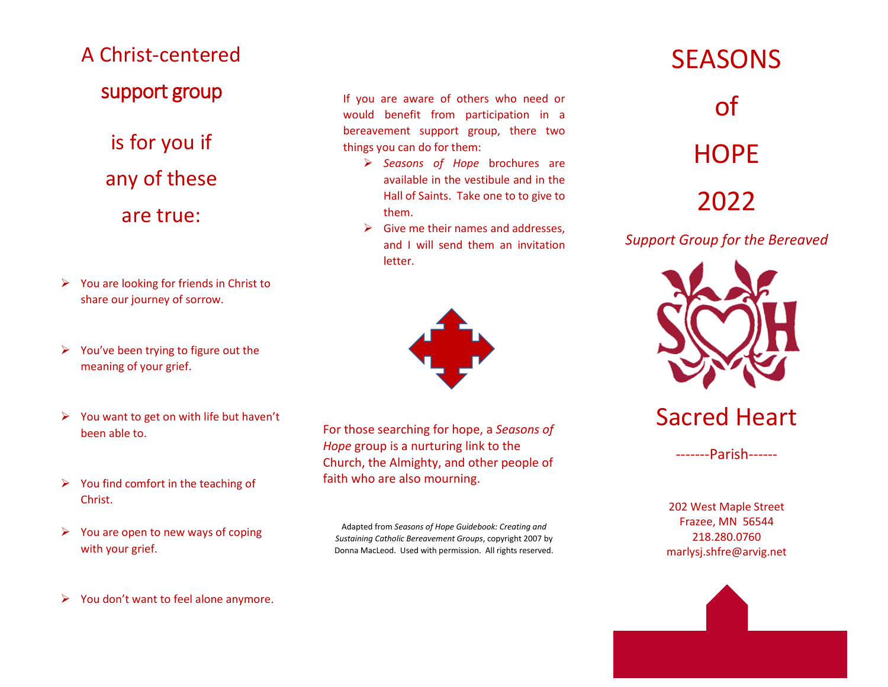## A Christ-centered support group

is for you if any of these are true:

- ➢ You are looking for friends in Christ to share our journey of sorrow.
- ➢ You've been trying to figure out the meaning of your grief.
- $\triangleright$  You want to get on with life but haven't been able to.
- $\triangleright$  You find comfort in the teaching of Christ.
- $\triangleright$  You are open to new ways of coping with your grief.

If you are aware of others who need or would benefit from participation in a bereavement support group, there two things you can do for them:

- ➢ *Seasons of Hope* brochures are available in the vestibule and in the Hall of Saints. Take one to to give to them.
- $\triangleright$  Give me their names and addresses, and I will send them an invitation letter.



For those searching for hope, a *Seasons of Hope* group is a nurturing link to the Church, the Almighty, and other people of faith who are also mourning.

Adapted from *Seasons of Hope Guidebook: Creating and Sustaining Catholic Bereavement Groups*, copyright 2007 by Donna MacLeod. Used with permission. All rights reserved.

## **SEASONS**

of **HOPE** 2022

*Support Group for the Bereaved*



Sacred Heart

-------Parish------

202 West Maple Street Frazee, MN 56544 218.280.0760 marlysj.shfre@arvig.net

➢ You don't want to feel alone anymore.